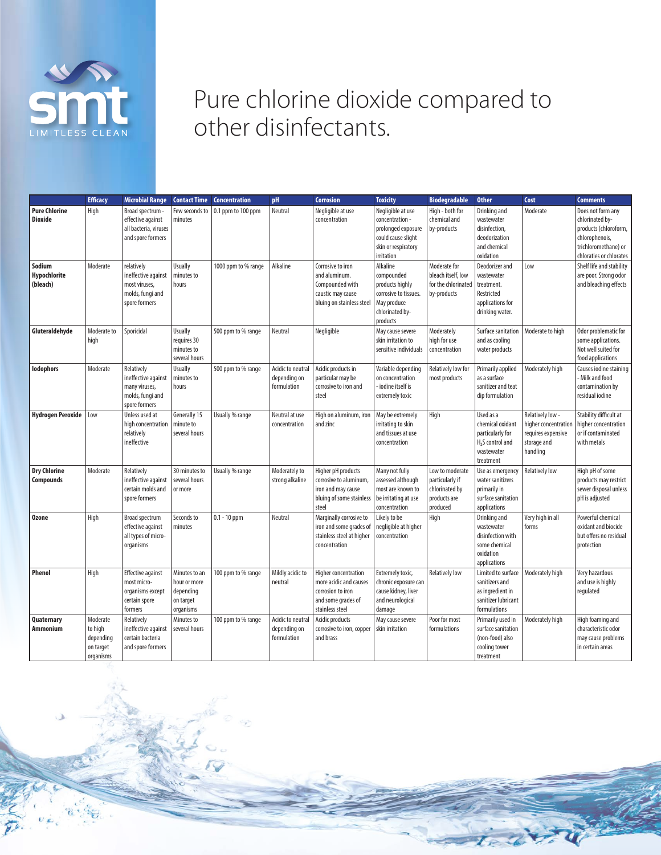

## Pure chlorine dioxide compared to other disinfectants.

|                                         | <b>Efficacy</b>                                            | <b>Microbial Range</b>                                                                  | <b>Contact Time</b>                                                  | <b>Concentration</b> | pH                                               | <b>Corrosion</b>                                                                                             | <b>Toxicity</b>                                                                                                       | <b>Biodegradable</b>                                                             | <b>Other</b>                                                                                                 | Cost                                                                                      | <b>Comments</b>                                                                                                                    |
|-----------------------------------------|------------------------------------------------------------|-----------------------------------------------------------------------------------------|----------------------------------------------------------------------|----------------------|--------------------------------------------------|--------------------------------------------------------------------------------------------------------------|-----------------------------------------------------------------------------------------------------------------------|----------------------------------------------------------------------------------|--------------------------------------------------------------------------------------------------------------|-------------------------------------------------------------------------------------------|------------------------------------------------------------------------------------------------------------------------------------|
| <b>Pure Chlorine</b><br><b>Dioxide</b>  | High                                                       | Broad spectrum -<br>effective against<br>all bacteria, viruses<br>and spore formers     | Few seconds to<br>minutes                                            | 0.1 ppm to 100 ppm   | Neutral                                          | Negligible at use<br>concentration                                                                           | Negligible at use<br>concentration -<br>prolonged exposure<br>could cause slight<br>skin or respiratory<br>irritation | High - both for<br>chemical and<br>by-products                                   | Drinking and<br>wastewater<br>disinfection,<br>deodorization<br>and chemical<br>oxidation                    | Moderate                                                                                  | Does not form any<br>chlorinated by-<br>products (chloroform,<br>chlorophenois,<br>trichloromethane) or<br>chloraties or chlorates |
| Sodium<br>Hypochlorite<br>(bleach)      | Moderate                                                   | relatively<br>ineffective against<br>most viruses,<br>molds, fungi and<br>spore formers | <b>Usually</b><br>minutes to<br>hours                                | 1000 ppm to % range  | Alkaline                                         | Corrosive to iron<br>and aluminum.<br>Compounded with<br>caustic may cause<br>bluing on stainless steel      | Alkaline<br>compounded<br>products highly<br>corrosive to tissues.<br>May produce<br>chlorinated by-<br>products      | Moderate for<br>bleach itself, low<br>for the chlorinated<br>by-products         | Deodorizer and<br>wastewater<br>treatment.<br>Restricted<br>applications for<br>drinking water.              | Low                                                                                       | Shelf life and stability<br>are poor. Strong odor<br>and bleaching effects                                                         |
| Gluteraldehyde                          | Moderate to<br>high                                        | Sporicidal                                                                              | <b>Usually</b><br>requires 30<br>minutes to<br>several hours         | 500 ppm to % range   | Neutral                                          | Negligible                                                                                                   | May cause severe<br>skin irritation to<br>sensitive individuals                                                       | Moderately<br>high for use<br>concentration                                      | Surface sanitation<br>and as cooling<br>water products                                                       | Moderate to high                                                                          | Odor problematic for<br>some applications.<br>Not well suited for<br>food applications                                             |
| <b>lodophors</b>                        | Moderate                                                   | Relatively<br>ineffective against<br>many viruses,<br>molds, fungi and<br>spore formers | <b>Usually</b><br>minutes to<br>hours                                | 500 ppm to % range   | Acidic to neutral<br>depending on<br>formulation | Acidic products in<br>particular may be<br>corrosive to iron and<br>steel                                    | Variable depending<br>on concentration<br>- iodine itself is<br>extremely toxic                                       | Relatively low for<br>most products                                              | Primarily applied<br>as a surface<br>sanitizer and teat<br>dip formulation                                   | Moderately high                                                                           | Causes iodine staining<br>- Milk and food<br>contamination by<br>residual iodine                                                   |
| Hydrogen Peroxide                       | Low                                                        | Unless used at<br>high concentration<br>relatively<br>ineffective                       | Generally 15<br>minute to<br>several hours                           | Usually % range      | Neutral at use<br>concentration                  | High on aluminum, iron<br>and zinc                                                                           | May be extremely<br>irritating to skin<br>and tissues at use<br>concentration                                         | High                                                                             | Used as a<br>chemical oxidant<br>particularly for<br>H <sub>2</sub> S control and<br>wastewater<br>treatment | Relatively low -<br>higher concentration<br>requires expensive<br>storage and<br>handling | Stability difficult at<br>higher concentration<br>or if contaminated<br>with metals                                                |
| <b>Dry Chlorine</b><br><b>Compounds</b> | Moderate                                                   | Relatively<br>ineffective against<br>certain molds and<br>spore formers                 | 30 minutes to<br>several hours<br>or more                            | Usually % range      | Moderately to<br>strong alkaline                 | Higher pH products<br>corrosive to aluminum,<br>iron and may cause<br>bluing of some stainless<br>steel      | Many not fully<br>assessed although<br>most are known to<br>be irritating at use<br>concentration                     | Low to moderate<br>particularly if<br>chlorinated by<br>products are<br>produced | Use as emergency<br>water sanitizers<br>primarily in<br>surface sanitation<br>applications                   | <b>Relatively low</b>                                                                     | High pH of some<br>products may restrict<br>sewer disposal unless<br>pH is adjusted                                                |
| <b>Ozone</b>                            | High                                                       | Broad spectrum<br>effective against<br>all types of micro-<br>organisms                 | Seconds to<br>minutes                                                | $0.1 - 10$ ppm       | Neutral                                          | Marginally corrosive to<br>iron and some grades of<br>stainless steel at higher<br>concentration             | Likely to be<br>negligible at higher<br>concentration                                                                 | High                                                                             | Drinking and<br>wastewater<br>disinfection with<br>some chemical<br>oxidation<br>applications                | Very high in all<br>forms                                                                 | Powerful chemical<br>oxidant and biocide<br>but offers no residual<br>protection                                                   |
| <b>Phenol</b>                           | High                                                       | <b>Effective against</b><br>most micro-<br>organisms except<br>certain spore<br>formers | Minutes to an<br>hour or more<br>depending<br>on target<br>organisms | 100 ppm to % range   | Mildly acidic to<br>neutral                      | Higher concentration<br>more acidic and causes<br>corrosion to iron<br>and some grades of<br>stainless steel | Extremely toxic,<br>chronic exposure can<br>cause kidney, liver<br>and neurological<br>damage                         | <b>Relatively low</b>                                                            | Limited to surface<br>sanitizers and<br>as ingredient in<br>sanitizer lubricant<br>formulations              | Moderately high                                                                           | Very hazardous<br>and use is highly<br>regulated                                                                                   |
| Quaternary<br><b>Ammonium</b>           | Moderate<br>to high<br>depending<br>on target<br>organisms | Relatively<br>ineffective against<br>certain bacteria<br>and spore formers              | Minutes to<br>several hours                                          | 100 ppm to % range   | Acidic to neutral<br>depending on<br>formulation | Acidic products<br>corrosive to iron, copper<br>and brass                                                    | May cause severe<br>skin irritation                                                                                   | Poor for most<br>formulations                                                    | Primarily used in<br>surface sanitation<br>(non-food) also<br>cooling tower<br>treatment                     | Moderately high                                                                           | High foaming and<br>characteristic odor<br>may cause problems<br>in certain areas                                                  |